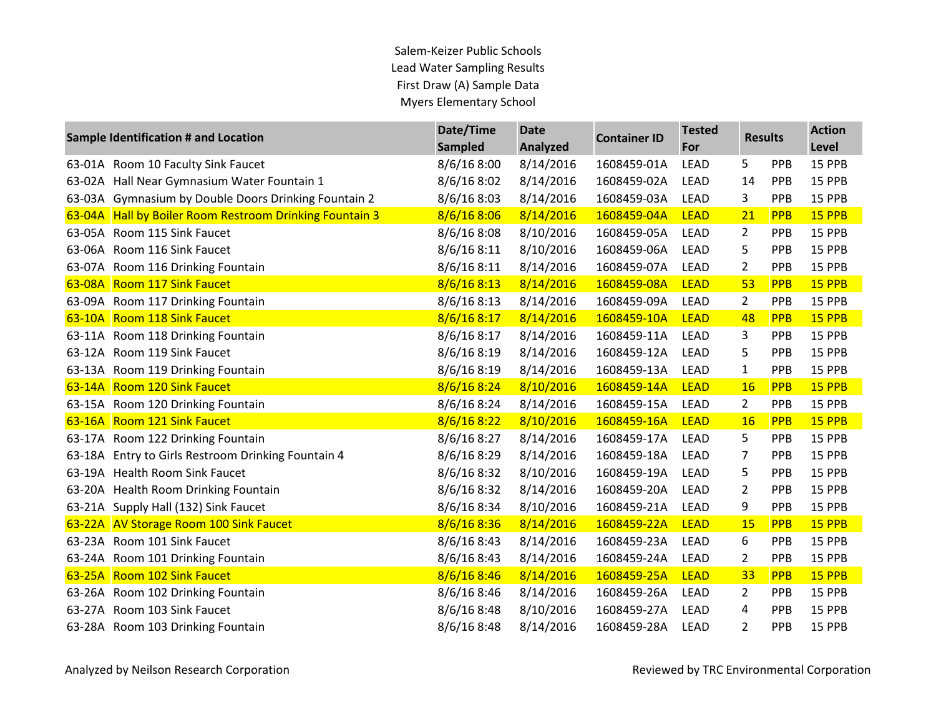## Salem-Keizer Public Schools Lead Water Sampling Results First Draw (A) Sample Data Myers Elementary School

|          | <b>Sample Identification # and Location</b>      | Date/Time<br><b>Sampled</b> | <b>Date</b><br><b>Analyzed</b> | <b>Container ID</b> | <b>Tested</b><br>For | <b>Results</b> |            | <b>Action</b><br>Level |
|----------|--------------------------------------------------|-----------------------------|--------------------------------|---------------------|----------------------|----------------|------------|------------------------|
| 63-01A   | Room 10 Faculty Sink Faucet                      | 8/6/168:00                  | 8/14/2016                      | 1608459-01A         | <b>LEAD</b>          | 5              | PPB        | 15 PPB                 |
| 63-02A   | Hall Near Gymnasium Water Fountain 1             | 8/6/168:02                  | 8/14/2016                      | 1608459-02A         | <b>LEAD</b>          | 14             | PPB        | 15 PPB                 |
| 63-03A   | Gymnasium by Double Doors Drinking Fountain 2    | 8/6/16 8:03                 | 8/14/2016                      | 1608459-03A         | <b>LEAD</b>          | 3              | PPB        | 15 PPB                 |
| 63-04A   | Hall by Boiler Room Restroom Drinking Fountain 3 | 8/6/168:06                  | 8/14/2016                      | 1608459-04A         | <b>LEAD</b>          | 21             | <b>PPB</b> | 15 PPB                 |
| 63-05A   | Room 115 Sink Faucet                             | 8/6/168:08                  | 8/10/2016                      | 1608459-05A         | LEAD                 | $\overline{2}$ | PPB        | 15 PPB                 |
| 63-06A   | Room 116 Sink Faucet                             | 8/6/168:11                  | 8/10/2016                      | 1608459-06A         | <b>LEAD</b>          | 5              | PPB        | 15 PPB                 |
| 63-07A   | Room 116 Drinking Fountain                       | 8/6/16 8:11                 | 8/14/2016                      | 1608459-07A         | <b>LEAD</b>          | 2              | PPB        | 15 PPB                 |
| 63-08A   | <b>Room 117 Sink Faucet</b>                      | 8/6/168:13                  | 8/14/2016                      | 1608459-08A         | <b>LEAD</b>          | 53             | <b>PPB</b> | 15 PPB                 |
| 63-09A   | Room 117 Drinking Fountain                       | 8/6/16 8:13                 | 8/14/2016                      | 1608459-09A         | <b>LEAD</b>          | $\overline{2}$ | PPB        | 15 PPB                 |
| 63-10A   | <b>Room 118 Sink Faucet</b>                      | 8/6/16 8:17                 | 8/14/2016                      | 1608459-10A         | <b>LEAD</b>          | 48             | <b>PPB</b> | 15 PPB                 |
| 63-11A   | Room 118 Drinking Fountain                       | 8/6/168:17                  | 8/14/2016                      | 1608459-11A         | <b>LEAD</b>          | 3              | PPB        | 15 PPB                 |
| 63-12A   | Room 119 Sink Faucet                             | 8/6/16 8:19                 | 8/14/2016                      | 1608459-12A         | <b>LEAD</b>          | 5              | PPB        | 15 PPB                 |
| 63-13A   | Room 119 Drinking Fountain                       | 8/6/16 8:19                 | 8/14/2016                      | 1608459-13A         | <b>LEAD</b>          | $\mathbf{1}$   | PPB        | 15 PPB                 |
| $63-14A$ | <b>Room 120 Sink Faucet</b>                      | 8/6/168:24                  | 8/10/2016                      | 1608459-14A         | <b>LEAD</b>          | <b>16</b>      | <b>PPB</b> | 15 PPB                 |
|          | 63-15A Room 120 Drinking Fountain                | 8/6/168:24                  | 8/14/2016                      | 1608459-15A         | <b>LEAD</b>          | $\overline{2}$ | PPB        | 15 PPB                 |
| 63-16A   | <b>Room 121 Sink Faucet</b>                      | 8/6/168:22                  | 8/10/2016                      | 1608459-16A         | <b>LEAD</b>          | <b>16</b>      | <b>PPB</b> | 15 PPB                 |
| 63-17A   | Room 122 Drinking Fountain                       | 8/6/168:27                  | 8/14/2016                      | 1608459-17A         | <b>LEAD</b>          | 5              | <b>PPB</b> | 15 PPB                 |
| 63-18A   | Entry to Girls Restroom Drinking Fountain 4      | 8/6/16 8:29                 | 8/14/2016                      | 1608459-18A         | <b>LEAD</b>          | 7              | PPB        | 15 PPB                 |
| 63-19A   | <b>Health Room Sink Faucet</b>                   | 8/6/16 8:32                 | 8/10/2016                      | 1608459-19A         | <b>LEAD</b>          | 5              | PPB        | 15 PPB                 |
| 63-20A   | Health Room Drinking Fountain                    | 8/6/168:32                  | 8/14/2016                      | 1608459-20A         | <b>LEAD</b>          | $\overline{2}$ | PPB        | 15 PPB                 |
| 63-21A   | Supply Hall (132) Sink Faucet                    | 8/6/16 8:34                 | 8/10/2016                      | 1608459-21A         | <b>LEAD</b>          | 9              | PPB        | 15 PPB                 |
| $63-22A$ | <b>AV Storage Room 100 Sink Faucet</b>           | 8/6/168:36                  | 8/14/2016                      | 1608459-22A         | <b>LEAD</b>          | 15             | PPB        | 15 PPB                 |
| 63-23A   | Room 101 Sink Faucet                             | 8/6/16 8:43                 | 8/14/2016                      | 1608459-23A         | <b>LEAD</b>          | 6              | PPB        | 15 PPB                 |
| 63-24A   | Room 101 Drinking Fountain                       | 8/6/16 8:43                 | 8/14/2016                      | 1608459-24A         | <b>LEAD</b>          | $\overline{2}$ | PPB        | 15 PPB                 |
| $63-25A$ | <b>Room 102 Sink Faucet</b>                      | 8/6/168:46                  | 8/14/2016                      | 1608459-25A         | <b>LEAD</b>          | 33             | PPB        | 15 PPB                 |
| 63-26A   | Room 102 Drinking Fountain                       | 8/6/16 8:46                 | 8/14/2016                      | 1608459-26A         | <b>LEAD</b>          | $\overline{2}$ | PPB        | 15 PPB                 |
| 63-27A   | Room 103 Sink Faucet                             | 8/6/168:38                  | 8/10/2016                      | 1608459-27A         | <b>LEAD</b>          | 4              | PPB        | 15 PPB                 |
|          | 63-28A Room 103 Drinking Fountain                | 8/6/16 8:48                 | 8/14/2016                      | 1608459-28A         | <b>LEAD</b>          | $\overline{2}$ | PPB        | 15 PPB                 |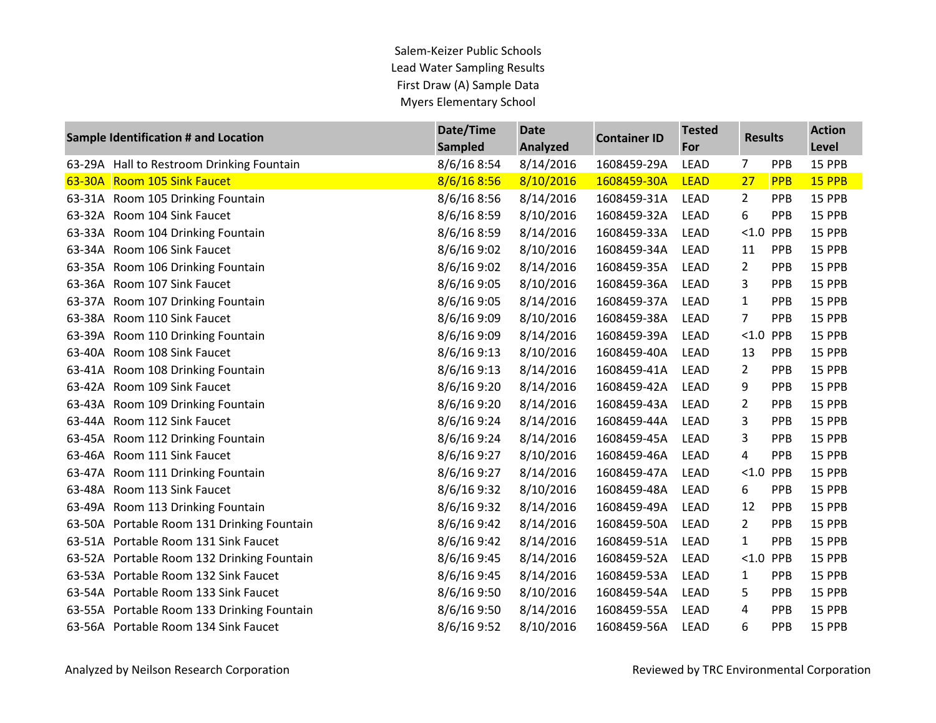## Salem-Keizer Public Schools Lead Water Sampling Results First Draw (A) Sample Data Myers Elementary School

| <b>Sample Identification # and Location</b> |                                      | Date/Time      | <b>Date</b> | <b>Container ID</b> | <b>Tested</b> | <b>Results</b> |            | <b>Action</b> |
|---------------------------------------------|--------------------------------------|----------------|-------------|---------------------|---------------|----------------|------------|---------------|
|                                             |                                      | <b>Sampled</b> | Analyzed    |                     | For           |                |            | Level         |
| 63-29A                                      | Hall to Restroom Drinking Fountain   | 8/6/168:54     | 8/14/2016   | 1608459-29A         | <b>LEAD</b>   | 7              | PPB        | 15 PPB        |
|                                             | 63-30A Room 105 Sink Faucet          | 8/6/168:56     | 8/10/2016   | 1608459-30A         | <b>LEAD</b>   | 27             | PPB        | 15 PPB        |
| 63-31A                                      | Room 105 Drinking Fountain           | 8/6/16 8:56    | 8/14/2016   | 1608459-31A         | <b>LEAD</b>   | $\overline{2}$ | <b>PPB</b> | 15 PPB        |
| 63-32A                                      | Room 104 Sink Faucet                 | 8/6/168:59     | 8/10/2016   | 1608459-32A         | <b>LEAD</b>   | 6              | PPB        | 15 PPB        |
| 63-33A                                      | Room 104 Drinking Fountain           | 8/6/16 8:59    | 8/14/2016   | 1608459-33A         | LEAD          | $<1.0$         | PPB        | 15 PPB        |
| 63-34A                                      | Room 106 Sink Faucet                 | 8/6/169:02     | 8/10/2016   | 1608459-34A         | <b>LEAD</b>   | 11             | PPB        | 15 PPB        |
| 63-35A                                      | Room 106 Drinking Fountain           | 8/6/16 9:02    | 8/14/2016   | 1608459-35A         | LEAD          | $\overline{2}$ | PPB        | 15 PPB        |
| 63-36A                                      | Room 107 Sink Faucet                 | 8/6/16 9:05    | 8/10/2016   | 1608459-36A         | LEAD          | 3              | PPB        | 15 PPB        |
| 63-37A                                      | Room 107 Drinking Fountain           | 8/6/16 9:05    | 8/14/2016   | 1608459-37A         | <b>LEAD</b>   | $\mathbf{1}$   | PPB        | 15 PPB        |
| 63-38A                                      | Room 110 Sink Faucet                 | 8/6/16 9:09    | 8/10/2016   | 1608459-38A         | LEAD          | 7              | PPB        | 15 PPB        |
| 63-39A                                      | Room 110 Drinking Fountain           | 8/6/16 9:09    | 8/14/2016   | 1608459-39A         | <b>LEAD</b>   | < 1.0          | PPB        | 15 PPB        |
| 63-40A                                      | Room 108 Sink Faucet                 | 8/6/169:13     | 8/10/2016   | 1608459-40A         | LEAD          | 13             | PPB        | 15 PPB        |
| 63-41A                                      | Room 108 Drinking Fountain           | 8/6/169:13     | 8/14/2016   | 1608459-41A         | <b>LEAD</b>   | $\overline{2}$ | PPB        | 15 PPB        |
| 63-42A                                      | Room 109 Sink Faucet                 | 8/6/169:20     | 8/14/2016   | 1608459-42A         | LEAD          | 9              | PPB        | 15 PPB        |
| 63-43A                                      | Room 109 Drinking Fountain           | 8/6/16 9:20    | 8/14/2016   | 1608459-43A         | LEAD          | $\overline{2}$ | PPB        | 15 PPB        |
| 63-44A                                      | Room 112 Sink Faucet                 | 8/6/16 9:24    | 8/14/2016   | 1608459-44A         | LEAD          | 3              | PPB        | 15 PPB        |
| 63-45A                                      | Room 112 Drinking Fountain           | 8/6/16 9:24    | 8/14/2016   | 1608459-45A         | <b>LEAD</b>   | 3              | PPB        | 15 PPB        |
| 63-46A                                      | Room 111 Sink Faucet                 | 8/6/16 9:27    | 8/10/2016   | 1608459-46A         | LEAD          | 4              | PPB        | 15 PPB        |
| 63-47A                                      | Room 111 Drinking Fountain           | 8/6/16 9:27    | 8/14/2016   | 1608459-47A         | LEAD          | < 1.0          | PPB        | 15 PPB        |
| 63-48A                                      | Room 113 Sink Faucet                 | 8/6/169:32     | 8/10/2016   | 1608459-48A         | LEAD          | 6              | PPB        | 15 PPB        |
| 63-49A                                      | Room 113 Drinking Fountain           | 8/6/169:32     | 8/14/2016   | 1608459-49A         | LEAD          | 12             | PPB        | 15 PPB        |
| 63-50A                                      | Portable Room 131 Drinking Fountain  | 8/6/169:42     | 8/14/2016   | 1608459-50A         | LEAD          | $\overline{2}$ | PPB        | 15 PPB        |
| 63-51A                                      | Portable Room 131 Sink Faucet        | 8/6/169:2      | 8/14/2016   | 1608459-51A         | LEAD          | $\mathbf{1}$   | PPB        | 15 PPB        |
| 63-52A                                      | Portable Room 132 Drinking Fountain  | 8/6/16 9:45    | 8/14/2016   | 1608459-52A         | <b>LEAD</b>   | < 1.0          | PPB        | 15 PPB        |
| 63-53A                                      | Portable Room 132 Sink Faucet        | 8/6/16 9:45    | 8/14/2016   | 1608459-53A         | LEAD          | $\mathbf{1}$   | PPB        | 15 PPB        |
| 63-54A                                      | Portable Room 133 Sink Faucet        | 8/6/169:50     | 8/10/2016   | 1608459-54A         | LEAD          | 5              | PPB        | 15 PPB        |
| 63-55A                                      | Portable Room 133 Drinking Fountain  | 8/6/169:50     | 8/14/2016   | 1608459-55A         | <b>LEAD</b>   | 4              | PPB        | 15 PPB        |
|                                             | 63-56A Portable Room 134 Sink Faucet | 8/6/16 9:52    | 8/10/2016   | 1608459-56A         | <b>LEAD</b>   | 6              | PPB        | 15 PPB        |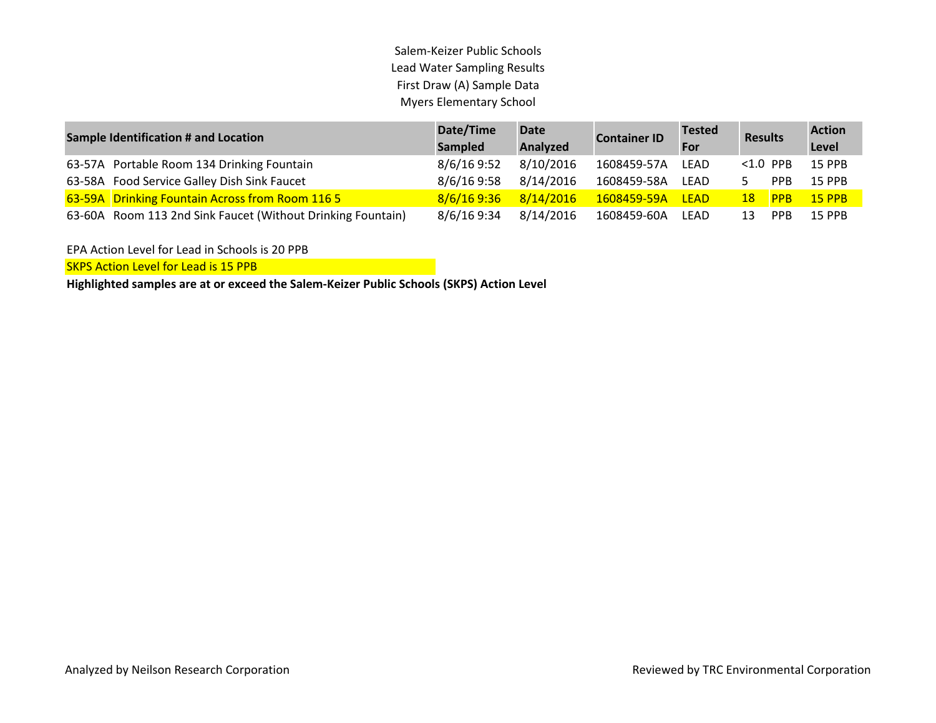## Salem-Keizer Public Schools Lead Water Sampling Results First Draw (A) Sample Data Myers Elementary School

| <b>Sample Identification # and Location</b>                 | Date/Time<br>Sampled | <b>Date</b><br>Analyzed | <b>Container ID</b> | <b>Tested</b><br>For | <b>Results</b>  |            | <b>Action</b><br>Level |
|-------------------------------------------------------------|----------------------|-------------------------|---------------------|----------------------|-----------------|------------|------------------------|
| 63-57A Portable Room 134 Drinking Fountain                  | 8/6/16 9:52          | 8/10/2016               | 1608459-57A         | LEAD                 | $< 1.0$ PPB     |            | <b>15 PPB</b>          |
| 63-58A Food Service Galley Dish Sink Faucet                 | 8/6/16 9:58          | 8/14/2016               | 1608459-58A         | LEAD                 | 5.              | <b>PPB</b> | <b>15 PPB</b>          |
| 63-59A Drinking Fountain Across from Room 116 5             | 8/6/169:36           | 8/14/2016               | 1608459-59A         | <b>LEAD</b>          | 18 <sup>°</sup> | <b>PPB</b> | <b>15 PPB</b>          |
| 63-60A Room 113 2nd Sink Faucet (Without Drinking Fountain) | 8/6/16 9:34          | 8/14/2016               | 1608459-60A         | LEAD                 | 13              | <b>PPB</b> | 15 PPB                 |

EPA Action Level for Lead in Schools is 20 PPB

SKPS Action Level for Lead is 15 PPB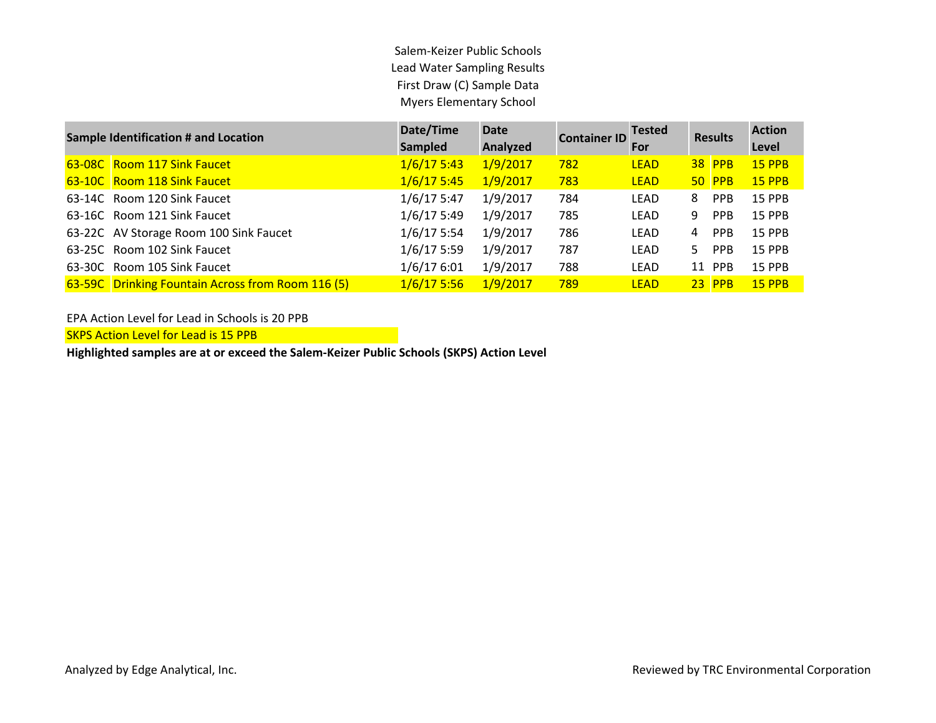Salem-Keizer Public Schools Lead Water Sampling Results First Draw (C) Sample Data Myers Elementary School

| <b>Sample Identification # and Location</b>       | Date/Time<br><b>Sampled</b> | <b>Date</b><br>Analyzed | <b>Container ID</b> | <b>Tested</b><br>For |    | <b>Results</b> | <b>Action</b><br>Level |
|---------------------------------------------------|-----------------------------|-------------------------|---------------------|----------------------|----|----------------|------------------------|
| 63-08C Room 117 Sink Faucet                       | 1/6/175:43                  | 1/9/2017                | 782                 | <b>LEAD</b>          |    | <b>38 PPB</b>  | <b>15 PPB</b>          |
| 63-10C Room 118 Sink Faucet                       | 1/6/175:45                  | 1/9/2017                | 783                 | <b>LEAD</b>          |    | <b>50 PPB</b>  | <b>15 PPB</b>          |
| 63-14C Room 120 Sink Faucet                       | $1/6/17$ 5:47               | 1/9/2017                | 784                 | LEAD                 | 8  | <b>PPB</b>     | <b>15 PPB</b>          |
| 63-16C Room 121 Sink Faucet                       | 1/6/175:49                  | 1/9/2017                | 785                 | LEAD                 | 9  | <b>PPB</b>     | <b>15 PPB</b>          |
| 63-22C AV Storage Room 100 Sink Faucet            | $1/6/17$ 5:54               | 1/9/2017                | 786                 | LEAD                 | 4  | <b>PPB</b>     | <b>15 PPB</b>          |
| 63-25C Room 102 Sink Faucet                       | $1/6/17$ 5:59               | 1/9/2017                | 787                 | LEAD                 | 5. | <b>PPB</b>     | <b>15 PPB</b>          |
| 63-30C Room 105 Sink Faucet                       | 1/6/176:01                  | 1/9/2017                | 788                 | LEAD                 |    | 11 PPB         | <b>15 PPB</b>          |
| 63-59C Drinking Fountain Across from Room 116 (5) | 1/6/175:56                  | 1/9/2017                | 789                 | <b>LEAD</b>          |    | $23$ PPB       | <b>15 PPB</b>          |

EPA Action Level for Lead in Schools is 20 PPB

**SKPS Action Level for Lead is 15 PPB**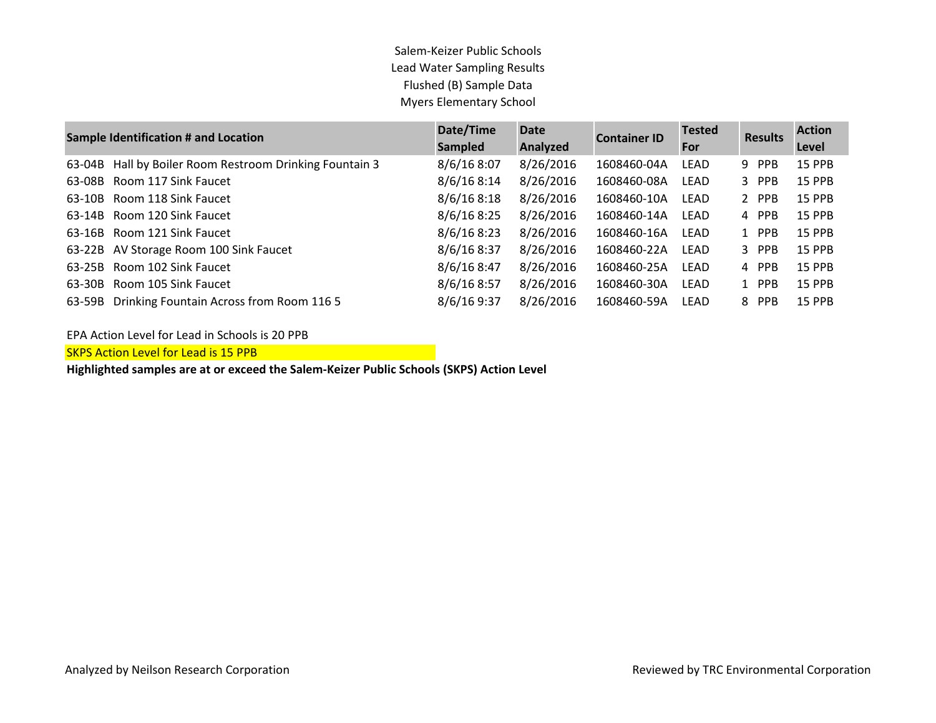## Salem-Keizer Public Schools Lead Water Sampling Results Flushed (B) Sample Data Myers Elementary School

| <b>Sample Identification # and Location</b> |                                                  | Date/Time      | <b>Date</b> | <b>Container ID</b> | <b>Tested</b> | <b>Results</b> | <b>Action</b> |
|---------------------------------------------|--------------------------------------------------|----------------|-------------|---------------------|---------------|----------------|---------------|
|                                             |                                                  | <b>Sampled</b> | Analyzed    | For                 |               |                | Level         |
| 63-04B                                      | Hall by Boiler Room Restroom Drinking Fountain 3 | 8/6/168:07     | 8/26/2016   | 1608460-04A         | <b>LEAD</b>   | 9 PPB          | <b>15 PPB</b> |
| 63-08B                                      | Room 117 Sink Faucet                             | 8/6/168:14     | 8/26/2016   | 1608460-08A         | LEAD          | 3 PPB          | <b>15 PPB</b> |
| 63-10B                                      | Room 118 Sink Faucet                             | 8/6/168:18     | 8/26/2016   | 1608460-10A         | LEAD          | 2 PPB          | <b>15 PPB</b> |
| 63-14B                                      | Room 120 Sink Faucet                             | 8/6/168:25     | 8/26/2016   | 1608460-14A         | LEAD          | 4 PPB          | <b>15 PPB</b> |
|                                             | 63-16B Room 121 Sink Faucet                      | 8/6/168:23     | 8/26/2016   | 1608460-16A         | LEAD          | 1 PPB          | <b>15 PPB</b> |
|                                             | 63-22B AV Storage Room 100 Sink Faucet           | 8/6/168:37     | 8/26/2016   | 1608460-22A         | LEAD          | 3 PPB          | <b>15 PPB</b> |
| 63-25B                                      | Room 102 Sink Faucet                             | 8/6/168:47     | 8/26/2016   | 1608460-25A         | LEAD          | 4 PPB          | <b>15 PPB</b> |
| 63-30B                                      | Room 105 Sink Faucet                             | 8/6/168:57     | 8/26/2016   | 1608460-30A         | LEAD          | 1 PPB          | <b>15 PPB</b> |
| 63-59B                                      | Drinking Fountain Across from Room 116 5         | 8/6/16 9:37    | 8/26/2016   | 1608460-59A         | LEAD          | 8 PPB          | <b>15 PPB</b> |

EPA Action Level for Lead in Schools is 20 PPB

**SKPS Action Level for Lead is 15 PPB**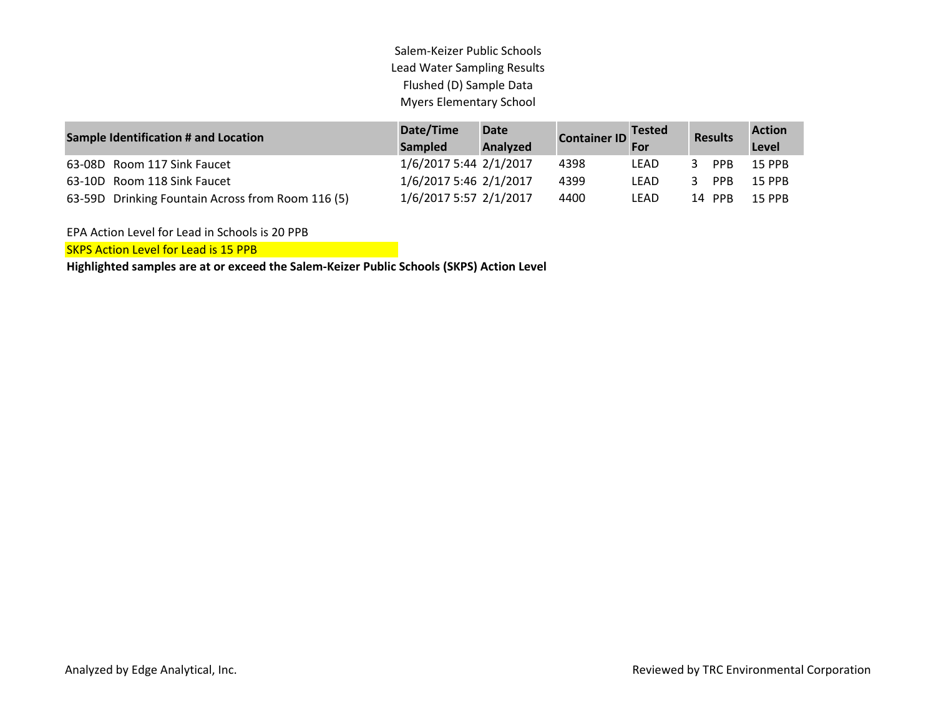Salem-Keizer Public Schools Lead Water Sampling Results Flushed (D) Sample Data Myers Elementary School

| <b>Sample Identification # and Location</b>       | Date/Time<br><b>Sampled</b> | Date<br><b>Analyzed</b> | Container ID For | $\blacksquare$ Tested | <b>Results</b> | <b>Action</b><br>Level |
|---------------------------------------------------|-----------------------------|-------------------------|------------------|-----------------------|----------------|------------------------|
| 63-08D Room 117 Sink Faucet                       | 1/6/2017 5:44 2/1/2017      |                         | 4398             | LEAD                  | <b>PPB</b>     | <b>15 PPB</b>          |
| 63-10D Room 118 Sink Faucet                       | 1/6/2017 5:46 2/1/2017      |                         | 4399             | LEAD                  | PPB            | <b>15 PPB</b>          |
| 63-59D Drinking Fountain Across from Room 116 (5) | 1/6/2017 5:57 2/1/2017      |                         | 4400             | LEAD                  | 14 PPB         | <b>15 PPB</b>          |

EPA Action Level for Lead in Schools is 20 PPB

**SKPS Action Level for Lead is 15 PPB**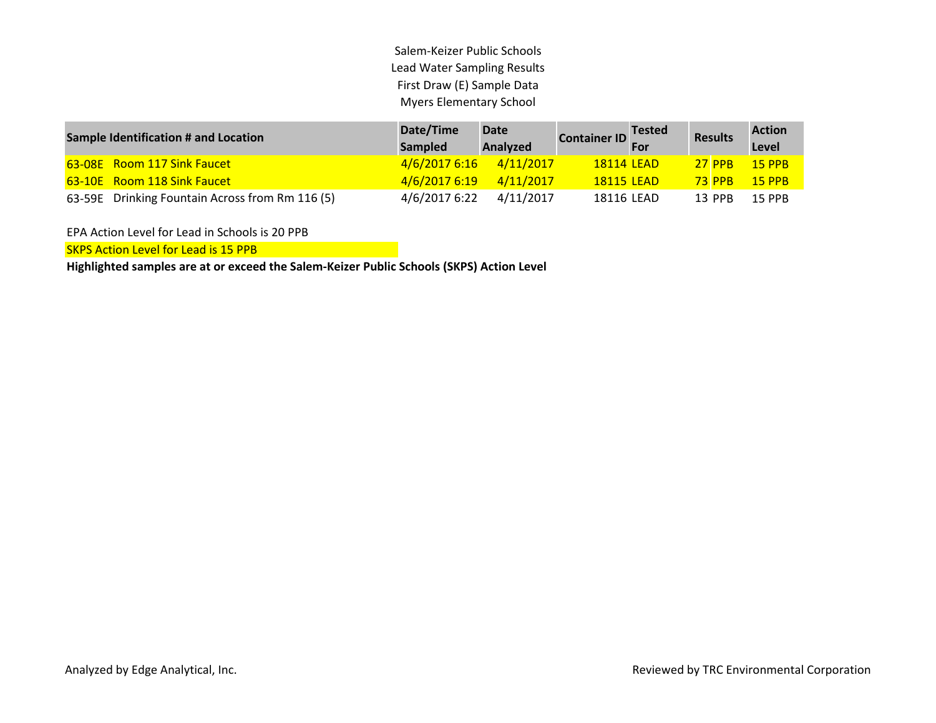Salem-Keizer Public Schools Lead Water Sampling Results First Draw (E) Sample Data Myers Elementary School

| <b>Sample Identification # and Location</b>     | Date/Time<br><b>Sampled</b> | <b>Date</b><br><b>Analyzed</b> | <b>Container ID</b> Tested |  | <b>Results</b> | <b>Action</b><br>Level |
|-------------------------------------------------|-----------------------------|--------------------------------|----------------------------|--|----------------|------------------------|
| 63-08E Room 117 Sink Faucet                     | 4/6/2017 6:16               | 4/11/2017                      | 18114 LEAD                 |  | $27$ PPB       | $15$ PPB               |
| 63-10E Room 118 Sink Faucet                     | 4/6/2017 6:19               | 4/11/2017                      | <b>18115 LEAD</b>          |  | <b>73 PPB</b>  | $15$ PPB               |
| 63-59E Drinking Fountain Across from Rm 116 (5) | 4/6/2017 6:22               | 4/11/2017                      | 18116 LEAD                 |  | 13 PPB         | <b>15 PPB</b>          |

EPA Action Level for Lead in Schools is 20 PPB

**SKPS Action Level for Lead is 15 PPB**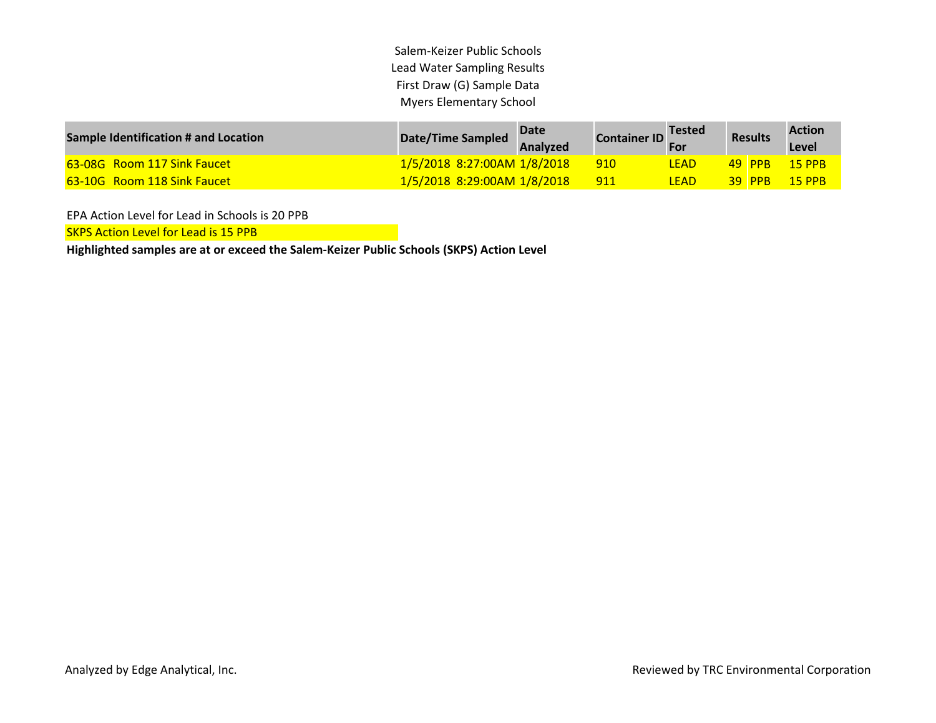Salem-Keizer Public Schools Lead Water Sampling Results First Draw (G) Sample Data Myers Elementary School

| <b>Sample Identification # and Location</b> | Date/Time Sampled           | <b>Date</b><br>Analyzed | Container ID | <b>Tested</b> | <b>Results</b> | <b>Action</b><br>Level |
|---------------------------------------------|-----------------------------|-------------------------|--------------|---------------|----------------|------------------------|
| <b>63-08G</b> Room 117 Sink Faucet          | 1/5/2018 8:27:00AM 1/8/2018 |                         | 910          | <b>LEAD</b>   | 49 PPB         | $\sqrt{15}$ PPB        |
| <b>63-10G</b> Room 118 Sink Faucet          | 1/5/2018 8:29:00AM 1/8/2018 |                         | 911          | <b>LEAD</b>   | $39$ PPB       | $15$ PPB               |

EPA Action Level for Lead in Schools is 20 PPB

SKPS Action Level for Lead is 15 PPB